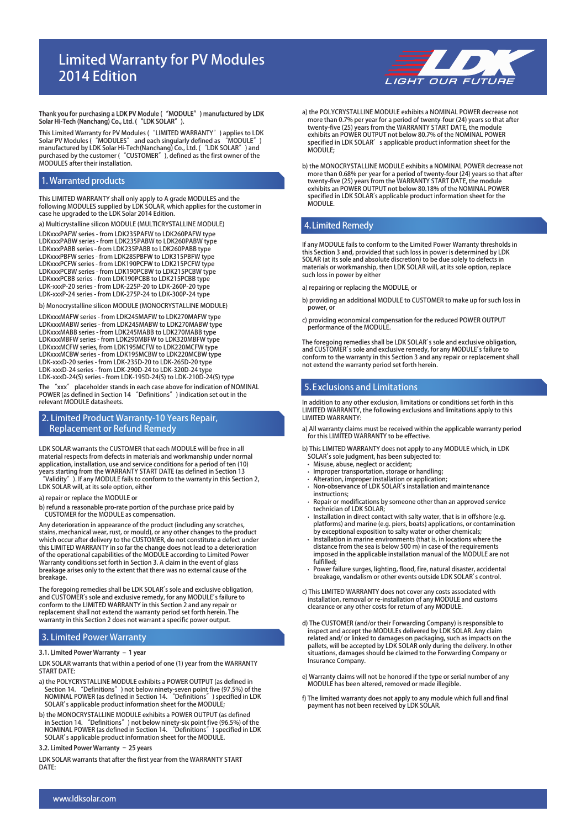# **Limited Warranty for PV Modules 2014 Edition**



# **Thank you for purchasing a LDK PV Module ("MODULE") manufactured by LDK Solar Hi-Tech (Nanchang) Co., Ltd. ("LDK SOLAR").**

This Limited Warranty for PV Modules ("LIMITED WARRANTY") applies to LDK<br>Solar PV Modules ("MODULES" and each singularly defined as "MODULE")<br>manufactured by LDK Solar Hi-Tech(Nanchang) Co., Ltd. ("LDK SOLAR") and<br>purchase MODULES after their installation.

# **1. Warranted products**

This LIMITED WARRANTY shall only apply to A grade MODULES and the following MODULES supplied by LDK SOLAR, which applies for the customer in case he upgraded to the LDK Solar 2014 Edition.

a) Multicrystalline silicon MODULE (MULTICRYSTALLINE MODULE)

LDKxxxPAFW series - from LDK235PAFW to LDK260PAFW type LDKxxxPABW series - from LDK235PABW to LDK260PABW type LDKxxxPABB series - from LDK235PABB to LDK260PABB type LDKxxxPBFW series - from LDK285PBFW to LDK315PBFW type LDKxxxPCFW series - from LDK190PCFW to LDK215PCFW type LDKxxxPCBW series - from LDK190PCBW to LDK215PCBW type LDKxxxPCBB series - from LDK190PCBB to LDK215PCBB type LDK-xxxP-20 series - from LDK-225P-20 to LDK-260P-20 type LDK-xxxP-24 series - from LDK-275P-24 to LDK-300P-24 type

b) Monocrystalline silicon MODULE (MONOCRYSTALLINE MODULE)

The "xxx" placeholder stands in each case above for indication of NOMINAL POWER (as defined in Section 14 "Definitions") indication set out in the relevant MODULE datasheets. LDKxxxMAFW series - from LDK245MAFW to LDK270MAFW type LDKxxxMABW series - from LDK245MABW to LDK270MABW type LDKxxxMABB series - from LDK245MABB to LDK270MABB type LDKxxxMBFW series - from LDK290MBFW to LDK320MBFW type LDKxxxMCFW series, from LDK195MCFW to LDK220MCFW type LDKxxxMCBW series - from LDK195MCBW to LDK220MCBW type LDK-xxxD-20 series - from LDK-235D-20 to LDK-265D-20 type LDK-xxxD-24 series - from LDK-290D-24 to LDK-320D-24 type LDK-xxxD-24(S) series - from LDK-195D-24(S) to LDK-210D-24(S) type

# **2. Limited Product Warranty-10 Years Repair, Replacement or Refund Remedy**

LDK SOLAR warrants the CUSTOMER that each MODULE will be free in all material respects from defects in materials and workmanship under normal application, installation, use and service conditions for a period of ten (10)

- years starting from the WARRANTY START DATE (as defined in Section 13<br>"Validity"). If any MODULE fails to conform to the warranty in this Section 2,<br>LDK SOLAR will, at its sole option, either
- a) repair or replace the MODULE or

b) refund a reasonable pro-rate portion of the purchase price paid by CUSTOMER for the MODULE as compensation.

Any deterioration in appearance of the product (including any scratches, stains, mechanical wear, rust, or mould), or any other changes to the product which occur after delivery to the CUSTOMER, do not constitute a defect under this LIMITED WARRANTY in so far the change does not lead to a deterioration of the operational capabilities of the MODULE according to Limited Power Warranty conditions set forth in Section 3. A claim in the event of glass breakage arises only to the extent that there was no external cause of the breakage.

The foregoing remedies shall be LDK SOLAR's sole and exclusive obligation,<br>and CUSTOMER's sole and exclusive remedy, for any MODULE's failure to<br>conform to the LIMITED WARRANTY in this Section 2 and any repair or replacement shall not extend the warranty period set forth herein. The warranty in this Section 2 does not warrant a specific power output.

# **3. Limited Power Warranty**

### **3.1. Limited Power Warranty – 1 year**

LDK SOLAR warrants that within a period of one (1) year from the WARRANTY START DATE:

- a) the POLYCRYSTALLINE MODULE exhibits a POWER OUTPUT (as defined in Section 14. "Definitions") not below ninety-seven point five (97.5%) of the NOMINAL POWER (as defined in Section 14. "Definitions") specified in LDK SOLAR's applicable product information sheet for the MODULE;
- b) the MONOCRYSTALLINE MODULE exhibits a POWER OUTPUT (as defined in Section 14. "Definitions") not below ninety-six point five (96.5%) of the NOMINAL POWER (as defined in Section 14. "Definitions") specified in LDK SOLAR's applicable product information sheet for the MODULE.

# **3.2. Limited Power Warranty – 25 years**

LDK SOLAR warrants that after the first year from the WARRANTY START DATE:

- a) the POLYCRYSTALLINE MODULE exhibits a NOMINAL POWER decrease not more than 0.7% per year for a period of twenty-four (24) years so that after twenty-five (25) years from the WARRANTY START DATE, the module exhibits an POWER OUTPUT not below 80.7% of the NOMINAL POWER specified in LDK SOLAR's applicable product information sheet for the MODULE:
- b) the MONOCRYSTALLINE MODULE exhibits a NOMINAL POWER decrease not more than 0.68% per year for a period of twenty-four (24) years so that after twenty-five (25) years from the WARRANTY START DATE, the module exhibits an POWER OUTPUT not below 80.18% of the NOMINAL POWER specified in LDK SOLAR's applicable product information sheet for the MODULE.

# **4.Limited Remedy**

If any MODULE fails to conform to the Limited Power Warranty thresholds in this Section 3 and, provided that such loss in power is determined by LDK SOLAR (at its sole and absolute discretion) to be due solely to defects in materials or workmanship, then LDK SOLAR will, at its sole option, replace such loss in power by either

- a) repairing or replacing the MODULE, or
- b) providing an additional MODULE to CUSTOMER to make up for such loss in .<br>power, or
- c) providing economical compensation for the reduced POWER OUTPUT performance of the MODULE.

The foregoing remedies shall be LDK SOLAR's sole and exclusive obligation, and CUSTOMER's sole and exclusive remedy, for any MODULE's failure to conform to the warranty in this Section 3 and any repair or replacement shall not extend the warranty period set forth herein.

# **5.Exclusions and Limitations**

In addition to any other exclusion, limitations or conditions set forth in this LIMITED WARRANTY, the following exclusions and limitations apply to this LIMITED WARRANTY:

a) All warranty claims must be received within the applicable warranty period for this LIMITED WARRANTY to be effective.

b) This LIMITED WARRANTY does not apply to any MODULE which, in LDK SOLAR's sole judgment, has been subjected to:

- Misuse, abuse, neglect or accident;
- Improper transportation, storage or handling;
- Alteration, improper installation or application; Non-observance of LDK SOLAR's installation and maintenance instructions;
- Repair or modifications by someone other than an approved service technician of LDK SOLAR;
- Installation in direct contact with salty water, that is in offshore (e.g. platforms) and marine (e.g. piers, boats) applications, or contamination by exceptional exposition to salty water or other chemicals;
- Installation in marine environments (that is, in locations where the distance from the sea is below 500 m) in case of the requirements imposed in the applicable installation manual of the MODULE are not fulfilled;
- Power failure surges, lighting, flood, fire, natural disaster, accidental breakage, vandalism or other events outside LDK SOLAR's control.
- c) This LIMITED WARRANTY does not cover any costs associated with installation, removal or re-installation of any MODULE and customs clearance or any other costs for return of any MODULE.
- d) The CUSTOMER (and/or their Forwarding Company) is responsible to inspect and accept the MODULEs delivered by LDK SOLAR. Any claim related and/ or linked to damages on packaging, such as impacts on the pallets, will be accepted by LDK SOLAR only during the delivery. In other situations, damages should be claimed to the Forwarding Company or Insurance Company.
- e) Warranty claims will not be honored if the type or serial number of any MODULE has been altered, removed or made illegible.
- f) The limited warranty does not apply to any module which full and final payment has not been received by LDK SOLAR.